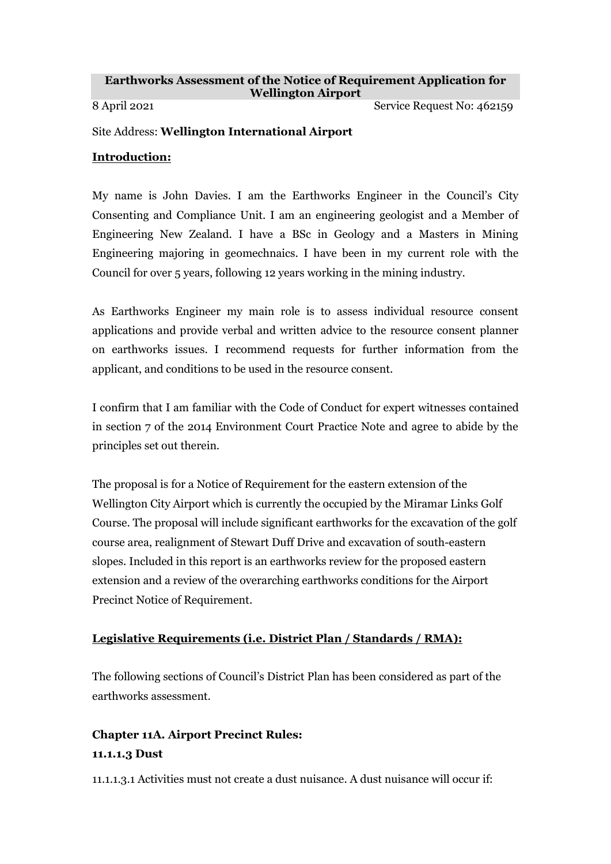#### **Earthworks Assessment of the Notice of Requirement Application for Wellington Airport**

8 April 2021 Service Request No: 462159

#### Site Address: **Wellington International Airport**

#### **Introduction:**

My name is John Davies. I am the Earthworks Engineer in the Council's City Consenting and Compliance Unit. I am an engineering geologist and a Member of Engineering New Zealand. I have a BSc in Geology and a Masters in Mining Engineering majoring in geomechnaics. I have been in my current role with the Council for over 5 years, following 12 years working in the mining industry.

As Earthworks Engineer my main role is to assess individual resource consent applications and provide verbal and written advice to the resource consent planner on earthworks issues. I recommend requests for further information from the applicant, and conditions to be used in the resource consent.

I confirm that I am familiar with the Code of Conduct for expert witnesses contained in section 7 of the 2014 Environment Court Practice Note and agree to abide by the principles set out therein.

The proposal is for a Notice of Requirement for the eastern extension of the Wellington City Airport which is currently the occupied by the Miramar Links Golf Course. The proposal will include significant earthworks for the excavation of the golf course area, realignment of Stewart Duff Drive and excavation of south-eastern slopes. Included in this report is an earthworks review for the proposed eastern extension and a review of the overarching earthworks conditions for the Airport Precinct Notice of Requirement.

### **Legislative Requirements (i.e. District Plan / Standards / RMA):**

The following sections of Council's District Plan has been considered as part of the earthworks assessment.

# **Chapter 11A. Airport Precinct Rules: 11.1.1.3 Dust**

11.1.1.3.1 Activities must not create a dust nuisance. A dust nuisance will occur if: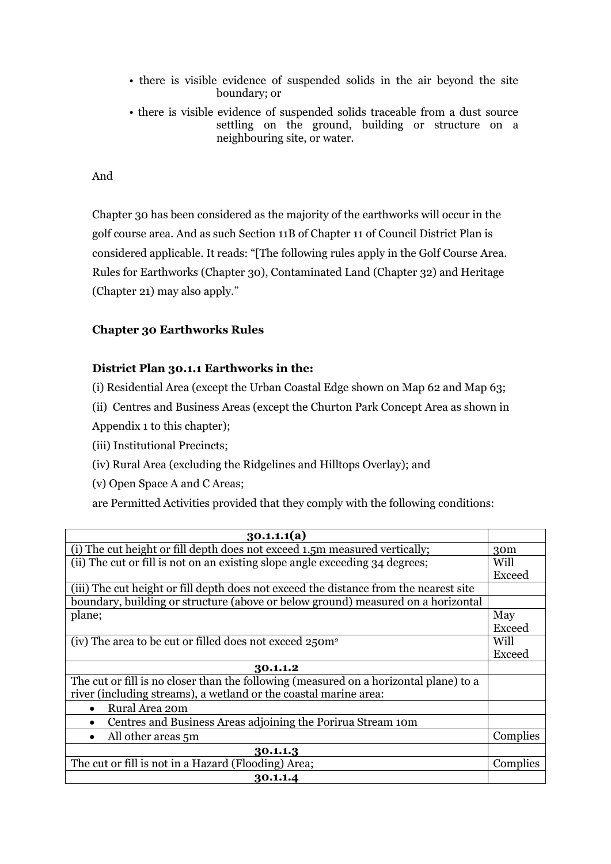- there is visible evidence of suspended solids in the air beyond the site boundary; or
- there is visible evidence of suspended solids traceable from a dust source settling on the ground, building or structure on a neighbouring site, or water.

### And

Chapter 30 has been considered as the majority of the earthworks will occur in the golf course area. And as such Section 11B of Chapter 11 of Council District Plan is considered applicable. It reads: "[The following rules apply in the Golf Course Area. Rules for Earthworks (Chapter 30), Contaminated Land (Chapter 32) and Heritage (Chapter 21) may also apply."

### **Chapter 30 Earthworks Rules**

### **District Plan 30.1.1 Earthworks in the:**

(i) Residential Area (except the Urban Coastal Edge shown on Map 62 and Map 63;

(ii) Centres and Business Areas (except the Churton Park Concept Area as shown in

Appendix 1 to this chapter);

(iii) Institutional Precincts;

(iv) Rural Area (excluding the Ridgelines and Hilltops Overlay); and

(v) Open Space A and C Areas;

are Permitted Activities provided that they comply with the following conditions:

| 30.1.1(1a)                                                                            |                 |
|---------------------------------------------------------------------------------------|-----------------|
| (i) The cut height or fill depth does not exceed 1.5m measured vertically;            | 30 <sub>m</sub> |
| (ii) The cut or fill is not on an existing slope angle exceeding 34 degrees;          | Will            |
|                                                                                       | Exceed          |
| (iii) The cut height or fill depth does not exceed the distance from the nearest site |                 |
| boundary, building or structure (above or below ground) measured on a horizontal      |                 |
| plane;                                                                                | May             |
|                                                                                       | Exceed          |
| (iv) The area to be cut or filled does not exceed 250m <sup>2</sup>                   | Will            |
|                                                                                       | Exceed          |
| 30.1.1.2                                                                              |                 |
| The cut or fill is no closer than the following (measured on a horizontal plane) to a |                 |
| river (including streams), a wetland or the coastal marine area:                      |                 |
| Rural Area 20m                                                                        |                 |
| Centres and Business Areas adjoining the Porirua Stream 10m                           |                 |
| All other areas 5m                                                                    | Complies        |
| 30.1.1.3                                                                              |                 |
| The cut or fill is not in a Hazard (Flooding) Area;                                   | Complies        |
| 30.1.1.4                                                                              |                 |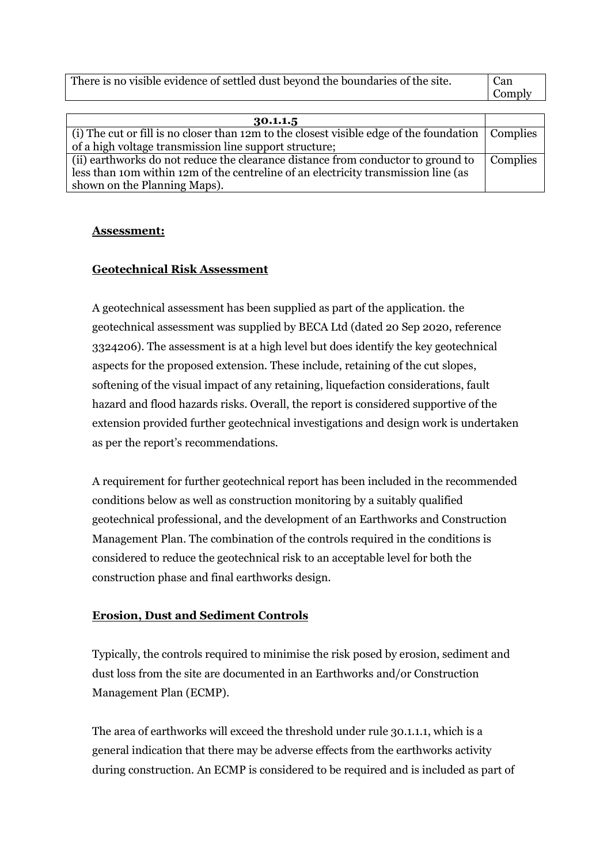| There is no visible evidence of settled dust beyond the boundaries of the site.                          | Can<br>Comply   |
|----------------------------------------------------------------------------------------------------------|-----------------|
|                                                                                                          |                 |
| 30.1.1.5                                                                                                 |                 |
| (i) The cut or fill is no closer than 12m to the closest visible edge of the foundation $\vert$ Complies |                 |
| of a high voltage transmission line support structure;                                                   |                 |
| (ii) earthworks do not reduce the clearance distance from conductor to ground to                         | <b>Complies</b> |

less than 10m within 12m of the centreline of an electricity transmission line (as shown on the Planning Maps).

### **Assessment:**

### **Geotechnical Risk Assessment**

A geotechnical assessment has been supplied as part of the application. the geotechnical assessment was supplied by BECA Ltd (dated 20 Sep 2020, reference 3324206). The assessment is at a high level but does identify the key geotechnical aspects for the proposed extension. These include, retaining of the cut slopes, softening of the visual impact of any retaining, liquefaction considerations, fault hazard and flood hazards risks. Overall, the report is considered supportive of the extension provided further geotechnical investigations and design work is undertaken as per the report's recommendations.

A requirement for further geotechnical report has been included in the recommended conditions below as well as construction monitoring by a suitably qualified geotechnical professional, and the development of an Earthworks and Construction Management Plan. The combination of the controls required in the conditions is considered to reduce the geotechnical risk to an acceptable level for both the construction phase and final earthworks design.

### **Erosion, Dust and Sediment Controls**

Typically, the controls required to minimise the risk posed by erosion, sediment and dust loss from the site are documented in an Earthworks and/or Construction Management Plan (ECMP).

The area of earthworks will exceed the threshold under rule 30.1.1.1, which is a general indication that there may be adverse effects from the earthworks activity during construction. An ECMP is considered to be required and is included as part of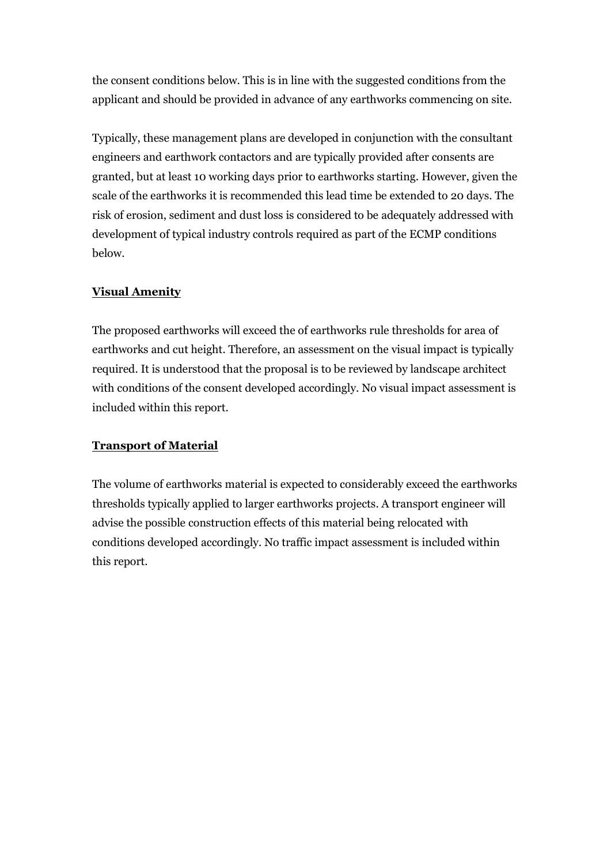the consent conditions below. This is in line with the suggested conditions from the applicant and should be provided in advance of any earthworks commencing on site.

Typically, these management plans are developed in conjunction with the consultant engineers and earthwork contactors and are typically provided after consents are granted, but at least 10 working days prior to earthworks starting. However, given the scale of the earthworks it is recommended this lead time be extended to 20 days. The risk of erosion, sediment and dust loss is considered to be adequately addressed with development of typical industry controls required as part of the ECMP conditions below.

### **Visual Amenity**

The proposed earthworks will exceed the of earthworks rule thresholds for area of earthworks and cut height. Therefore, an assessment on the visual impact is typically required. It is understood that the proposal is to be reviewed by landscape architect with conditions of the consent developed accordingly. No visual impact assessment is included within this report.

### **Transport of Material**

The volume of earthworks material is expected to considerably exceed the earthworks thresholds typically applied to larger earthworks projects. A transport engineer will advise the possible construction effects of this material being relocated with conditions developed accordingly. No traffic impact assessment is included within this report.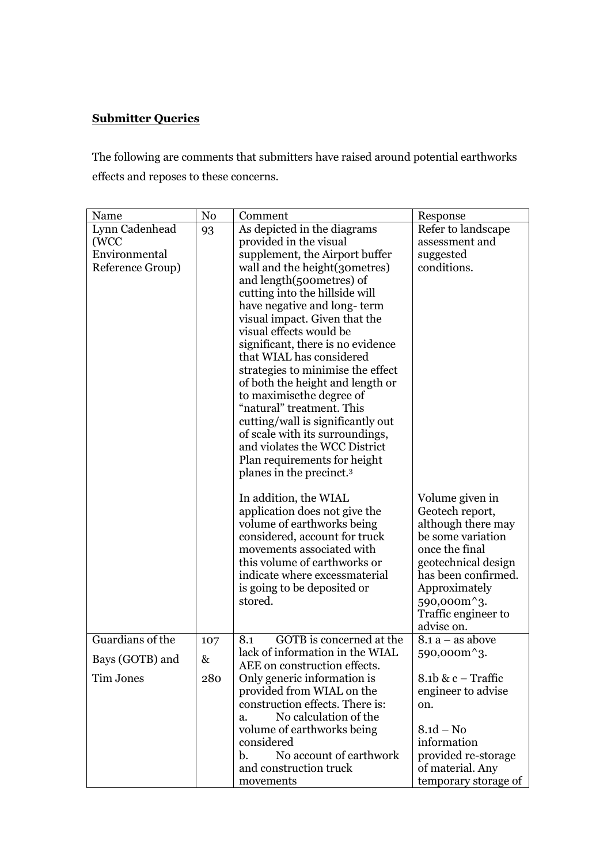# **Submitter Queries**

The following are comments that submitters have raised around potential earthworks effects and reposes to these concerns.

| Name                                                        | No  | Comment                                                                                                                                                                                                                                                                                                                                                                                                                                                                                                                                                                                                                                                                   | Response                                                                                                                                                                                                                        |
|-------------------------------------------------------------|-----|---------------------------------------------------------------------------------------------------------------------------------------------------------------------------------------------------------------------------------------------------------------------------------------------------------------------------------------------------------------------------------------------------------------------------------------------------------------------------------------------------------------------------------------------------------------------------------------------------------------------------------------------------------------------------|---------------------------------------------------------------------------------------------------------------------------------------------------------------------------------------------------------------------------------|
| Lynn Cadenhead<br>(WCC<br>Environmental<br>Reference Group) | 93  | As depicted in the diagrams<br>provided in the visual<br>supplement, the Airport buffer<br>wall and the height (30 metres)<br>and length(500 metres) of<br>cutting into the hillside will<br>have negative and long-term<br>visual impact. Given that the<br>visual effects would be<br>significant, there is no evidence<br>that WIAL has considered<br>strategies to minimise the effect<br>of both the height and length or<br>to maximise the degree of<br>"natural" treatment. This<br>cutting/wall is significantly out<br>of scale with its surroundings,<br>and violates the WCC District<br>Plan requirements for height<br>planes in the precinct. <sup>3</sup> | Refer to landscape<br>assessment and<br>suggested<br>conditions.                                                                                                                                                                |
|                                                             |     | In addition, the WIAL<br>application does not give the<br>volume of earthworks being<br>considered, account for truck<br>movements associated with<br>this volume of earthworks or<br>indicate where excessmaterial<br>is going to be deposited or<br>stored.                                                                                                                                                                                                                                                                                                                                                                                                             | Volume given in<br>Geotech report,<br>although there may<br>be some variation<br>once the final<br>geotechnical design<br>has been confirmed.<br>Approximately<br>590,000m <sup>^</sup> 3.<br>Traffic engineer to<br>advise on. |
| Guardians of the                                            | 107 | GOTB is concerned at the<br>8.1                                                                                                                                                                                                                                                                                                                                                                                                                                                                                                                                                                                                                                           | $8.1 a - as above$                                                                                                                                                                                                              |
| Bays (GOTB) and                                             | &   | lack of information in the WIAL<br>AEE on construction effects.                                                                                                                                                                                                                                                                                                                                                                                                                                                                                                                                                                                                           | 590,000m <sup>^</sup> 3.                                                                                                                                                                                                        |
| <b>Tim Jones</b>                                            | 280 | Only generic information is<br>provided from WIAL on the<br>construction effects. There is:<br>No calculation of the<br>a.<br>volume of earthworks being<br>considered<br>No account of earthwork<br>b.<br>and construction truck<br>movements                                                                                                                                                                                                                                                                                                                                                                                                                            | $8.1b & c - Traffic$<br>engineer to advise<br>on.<br>$8.1d - No$<br>information<br>provided re-storage<br>of material. Any<br>temporary storage of                                                                              |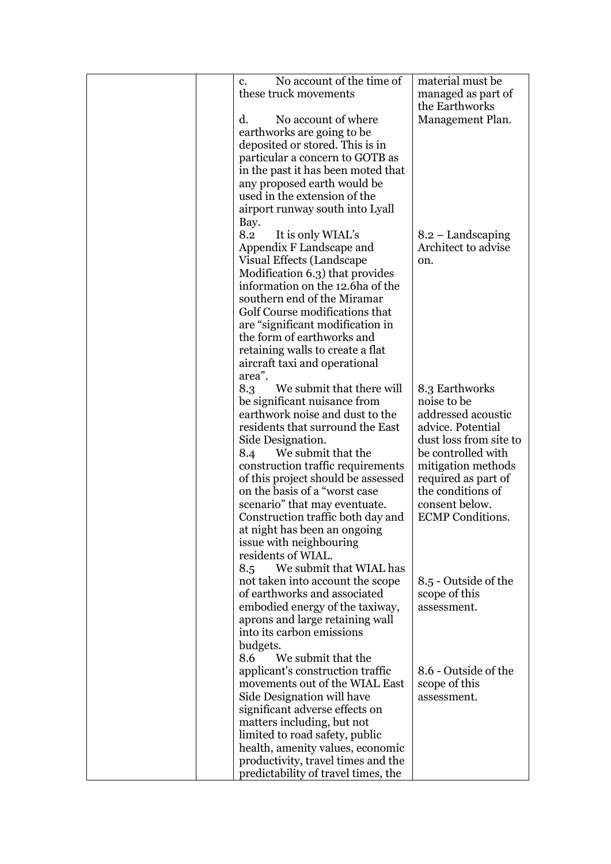| No account of the time of<br>c.     | material must be        |
|-------------------------------------|-------------------------|
| these truck movements               | managed as part of      |
|                                     | the Earthworks          |
| d.<br>No account of where           | Management Plan.        |
| earthworks are going to be          |                         |
| deposited or stored. This is in     |                         |
| particular a concern to GOTB as     |                         |
| in the past it has been moted that  |                         |
|                                     |                         |
| any proposed earth would be         |                         |
| used in the extension of the        |                         |
| airport runway south into Lyall     |                         |
| Bay.                                |                         |
| It is only WIAL's<br>8.2            | $8.2 -$ Landscaping     |
| Appendix F Landscape and            | Architect to advise     |
| Visual Effects (Landscape           | on.                     |
| Modification 6.3) that provides     |                         |
| information on the 12.6 ha of the   |                         |
| southern end of the Miramar         |                         |
| Golf Course modifications that      |                         |
| are "significant modification in    |                         |
| the form of earthworks and          |                         |
| retaining walls to create a flat    |                         |
| aircraft taxi and operational       |                         |
| area".                              |                         |
| We submit that there will<br>8.3    | 8.3 Earthworks          |
| be significant nuisance from        | noise to be             |
| earthwork noise and dust to the     | addressed acoustic      |
| residents that surround the East    | advice. Potential       |
| Side Designation.                   | dust loss from site to  |
| We submit that the<br>8.4           | be controlled with      |
| construction traffic requirements   | mitigation methods      |
| of this project should be assessed  | required as part of     |
| on the basis of a "worst case       | the conditions of       |
| scenario" that may eventuate.       | consent below.          |
| Construction traffic both day and   | <b>ECMP</b> Conditions. |
| at night has been an ongoing        |                         |
| issue with neighbouring             |                         |
| residents of WIAL.                  |                         |
| We submit that WIAL has<br>8.5      |                         |
| not taken into account the scope    | 8.5 - Outside of the    |
| of earthworks and associated        | scope of this           |
| embodied energy of the taxiway,     | assessment.             |
| aprons and large retaining wall     |                         |
| into its carbon emissions           |                         |
| budgets.                            |                         |
| We submit that the<br>8.6           |                         |
| applicant's construction traffic    | 8.6 - Outside of the    |
| movements out of the WIAL East      | scope of this           |
| Side Designation will have          | assessment.             |
| significant adverse effects on      |                         |
| matters including, but not          |                         |
| limited to road safety, public      |                         |
| health, amenity values, economic    |                         |
| productivity, travel times and the  |                         |
| predictability of travel times, the |                         |
|                                     |                         |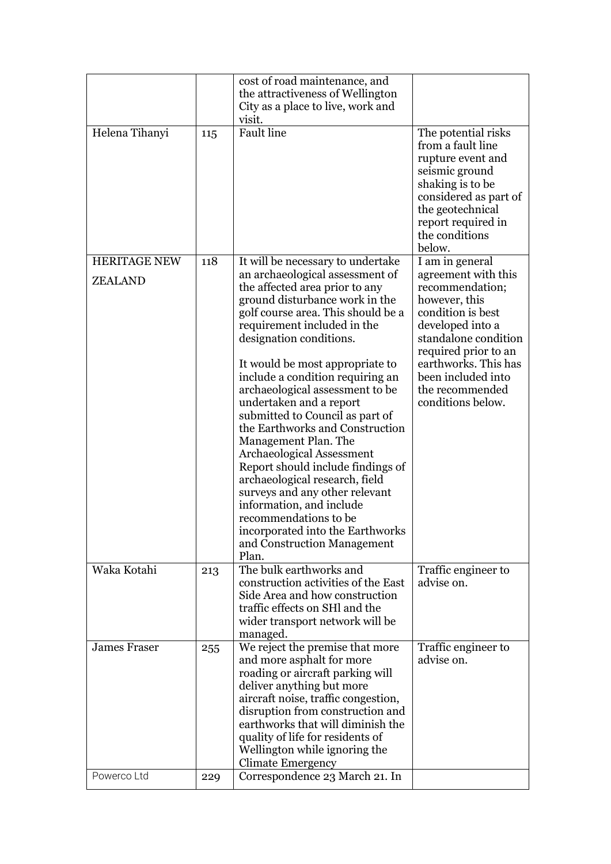|                                    |            | cost of road maintenance, and                                                                                                                                                                                                                                                                                                                                                                                                                                                                                                                                                                                                                                                                                 |                                                                                                                                                                                                                                        |
|------------------------------------|------------|---------------------------------------------------------------------------------------------------------------------------------------------------------------------------------------------------------------------------------------------------------------------------------------------------------------------------------------------------------------------------------------------------------------------------------------------------------------------------------------------------------------------------------------------------------------------------------------------------------------------------------------------------------------------------------------------------------------|----------------------------------------------------------------------------------------------------------------------------------------------------------------------------------------------------------------------------------------|
|                                    |            | the attractiveness of Wellington<br>City as a place to live, work and                                                                                                                                                                                                                                                                                                                                                                                                                                                                                                                                                                                                                                         |                                                                                                                                                                                                                                        |
|                                    |            | visit.                                                                                                                                                                                                                                                                                                                                                                                                                                                                                                                                                                                                                                                                                                        |                                                                                                                                                                                                                                        |
| Helena Tihanyi                     | 115        | <b>Fault</b> line                                                                                                                                                                                                                                                                                                                                                                                                                                                                                                                                                                                                                                                                                             | The potential risks<br>from a fault line<br>rupture event and<br>seismic ground<br>shaking is to be<br>considered as part of<br>the geotechnical<br>report required in<br>the conditions<br>below.                                     |
| HERITAGE NEW                       | 118        | It will be necessary to undertake                                                                                                                                                                                                                                                                                                                                                                                                                                                                                                                                                                                                                                                                             | I am in general                                                                                                                                                                                                                        |
| <b>ZEALAND</b>                     |            | an archaeological assessment of<br>the affected area prior to any<br>ground disturbance work in the<br>golf course area. This should be a<br>requirement included in the<br>designation conditions.<br>It would be most appropriate to<br>include a condition requiring an<br>archaeological assessment to be<br>undertaken and a report<br>submitted to Council as part of<br>the Earthworks and Construction<br>Management Plan. The<br>Archaeological Assessment<br>Report should include findings of<br>archaeological research, field<br>surveys and any other relevant<br>information, and include<br>recommendations to be<br>incorporated into the Earthworks<br>and Construction Management<br>Plan. | agreement with this<br>recommendation;<br>however, this<br>condition is best<br>developed into a<br>standalone condition<br>required prior to an<br>earthworks. This has<br>been included into<br>the recommended<br>conditions below. |
| Waka Kotahi                        | 213        | The bulk earthworks and<br>construction activities of the East<br>Side Area and how construction<br>traffic effects on SHI and the<br>wider transport network will be<br>managed.                                                                                                                                                                                                                                                                                                                                                                                                                                                                                                                             | Traffic engineer to<br>advise on.                                                                                                                                                                                                      |
| <b>James Fraser</b><br>Powerco Ltd | 255<br>229 | We reject the premise that more<br>and more asphalt for more<br>roading or aircraft parking will<br>deliver anything but more<br>aircraft noise, traffic congestion,<br>disruption from construction and<br>earthworks that will diminish the<br>quality of life for residents of<br>Wellington while ignoring the<br><b>Climate Emergency</b><br>Correspondence 23 March 21. In                                                                                                                                                                                                                                                                                                                              | Traffic engineer to<br>advise on.                                                                                                                                                                                                      |
|                                    |            |                                                                                                                                                                                                                                                                                                                                                                                                                                                                                                                                                                                                                                                                                                               |                                                                                                                                                                                                                                        |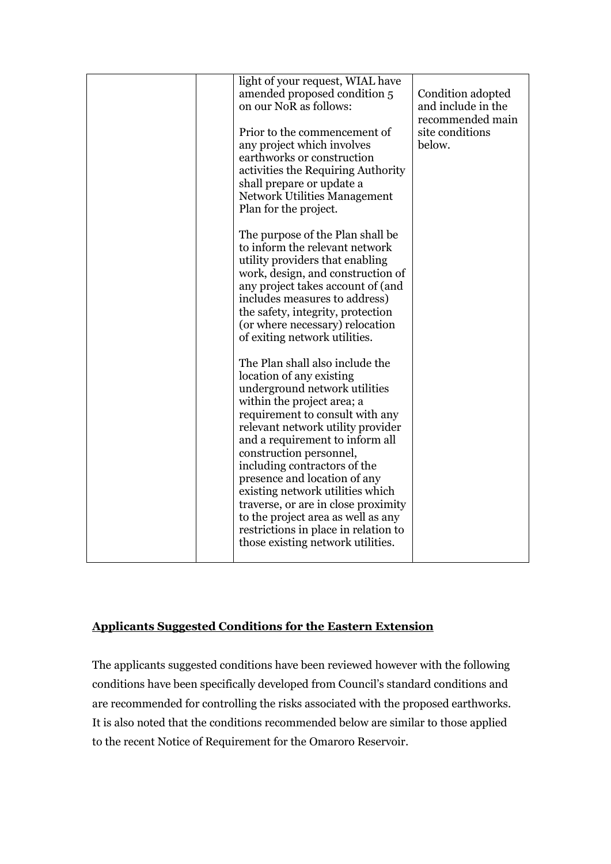| amended proposed condition 5<br>on our NoR as follows:<br>Prior to the commencement of<br>any project which involves<br>earthworks or construction<br>activities the Requiring Authority<br>shall prepare or update a<br><b>Network Utilities Management</b><br>Plan for the project.<br>The purpose of the Plan shall be<br>to inform the relevant network<br>utility providers that enabling<br>work, design, and construction of<br>any project takes account of (and                                                                                                                    | Condition adopted<br>and include in the<br>recommended main<br>site conditions<br>below. |
|---------------------------------------------------------------------------------------------------------------------------------------------------------------------------------------------------------------------------------------------------------------------------------------------------------------------------------------------------------------------------------------------------------------------------------------------------------------------------------------------------------------------------------------------------------------------------------------------|------------------------------------------------------------------------------------------|
| includes measures to address)<br>the safety, integrity, protection<br>(or where necessary) relocation<br>of exiting network utilities.<br>The Plan shall also include the<br>location of any existing<br>underground network utilities<br>within the project area; a<br>requirement to consult with any<br>relevant network utility provider<br>and a requirement to inform all<br>construction personnel,<br>including contractors of the<br>presence and location of any<br>existing network utilities which<br>traverse, or are in close proximity<br>to the project area as well as any |                                                                                          |

## **Applicants Suggested Conditions for the Eastern Extension**

The applicants suggested conditions have been reviewed however with the following conditions have been specifically developed from Council's standard conditions and are recommended for controlling the risks associated with the proposed earthworks. It is also noted that the conditions recommended below are similar to those applied to the recent Notice of Requirement for the Omaroro Reservoir.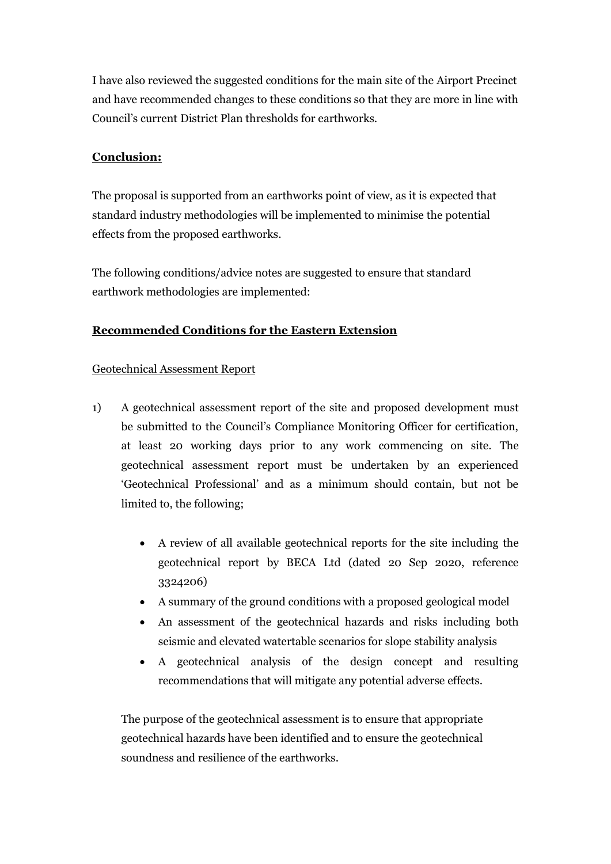I have also reviewed the suggested conditions for the main site of the Airport Precinct and have recommended changes to these conditions so that they are more in line with Council's current District Plan thresholds for earthworks.

## **Conclusion:**

The proposal is supported from an earthworks point of view, as it is expected that standard industry methodologies will be implemented to minimise the potential effects from the proposed earthworks.

The following conditions/advice notes are suggested to ensure that standard earthwork methodologies are implemented:

## **Recommended Conditions for the Eastern Extension**

## Geotechnical Assessment Report

- 1) A geotechnical assessment report of the site and proposed development must be submitted to the Council's Compliance Monitoring Officer for certification, at least 20 working days prior to any work commencing on site. The geotechnical assessment report must be undertaken by an experienced 'Geotechnical Professional' and as a minimum should contain, but not be limited to, the following;
	- A review of all available geotechnical reports for the site including the geotechnical report by BECA Ltd (dated 20 Sep 2020, reference 3324206)
	- A summary of the ground conditions with a proposed geological model
	- An assessment of the geotechnical hazards and risks including both seismic and elevated watertable scenarios for slope stability analysis
	- A geotechnical analysis of the design concept and resulting recommendations that will mitigate any potential adverse effects.

The purpose of the geotechnical assessment is to ensure that appropriate geotechnical hazards have been identified and to ensure the geotechnical soundness and resilience of the earthworks.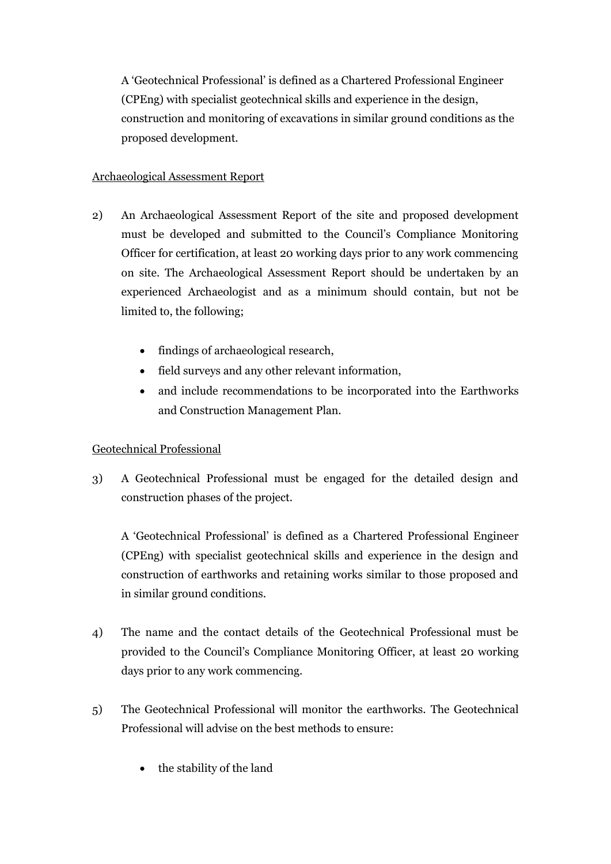A 'Geotechnical Professional' is defined as a Chartered Professional Engineer (CPEng) with specialist geotechnical skills and experience in the design, construction and monitoring of excavations in similar ground conditions as the proposed development.

## Archaeological Assessment Report

- 2) An Archaeological Assessment Report of the site and proposed development must be developed and submitted to the Council's Compliance Monitoring Officer for certification, at least 20 working days prior to any work commencing on site. The Archaeological Assessment Report should be undertaken by an experienced Archaeologist and as a minimum should contain, but not be limited to, the following;
	- findings of archaeological research,
	- field surveys and any other relevant information,
	- and include recommendations to be incorporated into the Earthworks and Construction Management Plan.

## Geotechnical Professional

3) A Geotechnical Professional must be engaged for the detailed design and construction phases of the project.

A 'Geotechnical Professional' is defined as a Chartered Professional Engineer (CPEng) with specialist geotechnical skills and experience in the design and construction of earthworks and retaining works similar to those proposed and in similar ground conditions.

- 4) The name and the contact details of the Geotechnical Professional must be provided to the Council's Compliance Monitoring Officer, at least 20 working days prior to any work commencing.
- 5) The Geotechnical Professional will monitor the earthworks. The Geotechnical Professional will advise on the best methods to ensure:
	- the stability of the land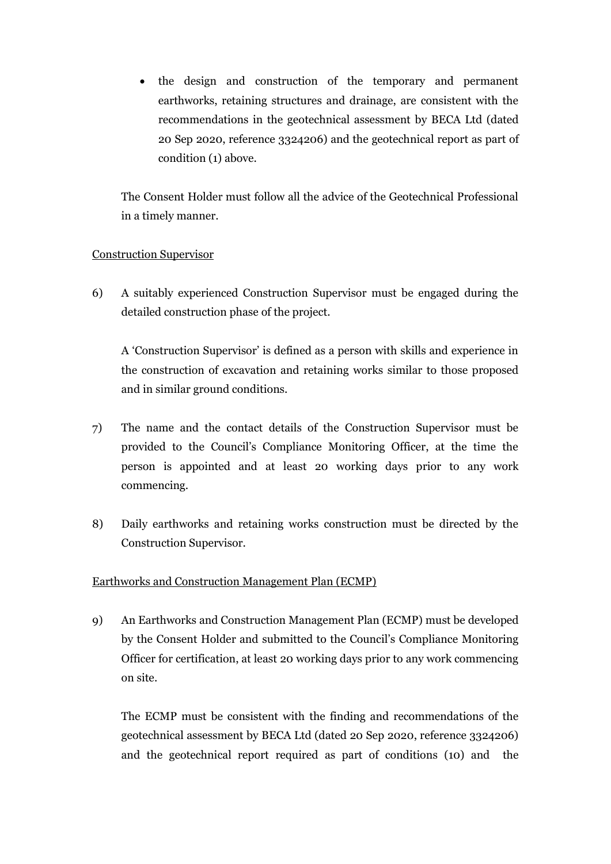• the design and construction of the temporary and permanent earthworks, retaining structures and drainage, are consistent with the recommendations in the geotechnical assessment by BECA Ltd (dated 20 Sep 2020, reference 3324206) and the geotechnical report as part of condition (1) above.

The Consent Holder must follow all the advice of the Geotechnical Professional in a timely manner.

## Construction Supervisor

6) A suitably experienced Construction Supervisor must be engaged during the detailed construction phase of the project.

A 'Construction Supervisor' is defined as a person with skills and experience in the construction of excavation and retaining works similar to those proposed and in similar ground conditions.

- 7) The name and the contact details of the Construction Supervisor must be provided to the Council's Compliance Monitoring Officer, at the time the person is appointed and at least 20 working days prior to any work commencing.
- 8) Daily earthworks and retaining works construction must be directed by the Construction Supervisor.

## Earthworks and Construction Management Plan (ECMP)

9) An Earthworks and Construction Management Plan (ECMP) must be developed by the Consent Holder and submitted to the Council's Compliance Monitoring Officer for certification, at least 20 working days prior to any work commencing on site.

The ECMP must be consistent with the finding and recommendations of the geotechnical assessment by BECA Ltd (dated 20 Sep 2020, reference 3324206) and the geotechnical report required as part of conditions (10) and the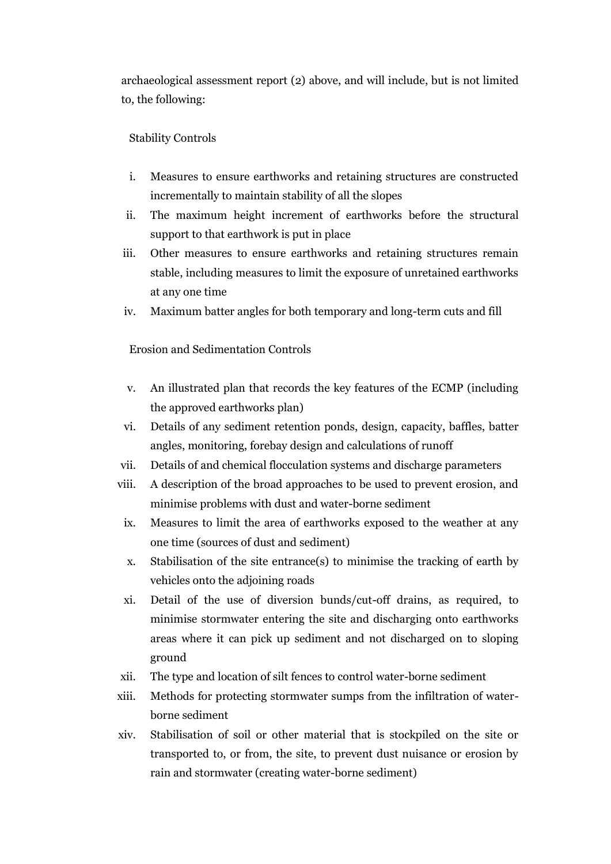archaeological assessment report (2) above, and will include, but is not limited to, the following:

### Stability Controls

- i. Measures to ensure earthworks and retaining structures are constructed incrementally to maintain stability of all the slopes
- ii. The maximum height increment of earthworks before the structural support to that earthwork is put in place
- iii. Other measures to ensure earthworks and retaining structures remain stable, including measures to limit the exposure of unretained earthworks at any one time
- iv. Maximum batter angles for both temporary and long-term cuts and fill

Erosion and Sedimentation Controls

- v. An illustrated plan that records the key features of the ECMP (including the approved earthworks plan)
- vi. Details of any sediment retention ponds, design, capacity, baffles, batter angles, monitoring, forebay design and calculations of runoff
- vii. Details of and chemical flocculation systems and discharge parameters
- viii. A description of the broad approaches to be used to prevent erosion, and minimise problems with dust and water-borne sediment
- ix. Measures to limit the area of earthworks exposed to the weather at any one time (sources of dust and sediment)
- x. Stabilisation of the site entrance(s) to minimise the tracking of earth by vehicles onto the adjoining roads
- xi. Detail of the use of diversion bunds/cut-off drains, as required, to minimise stormwater entering the site and discharging onto earthworks areas where it can pick up sediment and not discharged on to sloping ground
- xii. The type and location of silt fences to control water-borne sediment
- xiii. Methods for protecting stormwater sumps from the infiltration of waterborne sediment
- xiv. Stabilisation of soil or other material that is stockpiled on the site or transported to, or from, the site, to prevent dust nuisance or erosion by rain and stormwater (creating water-borne sediment)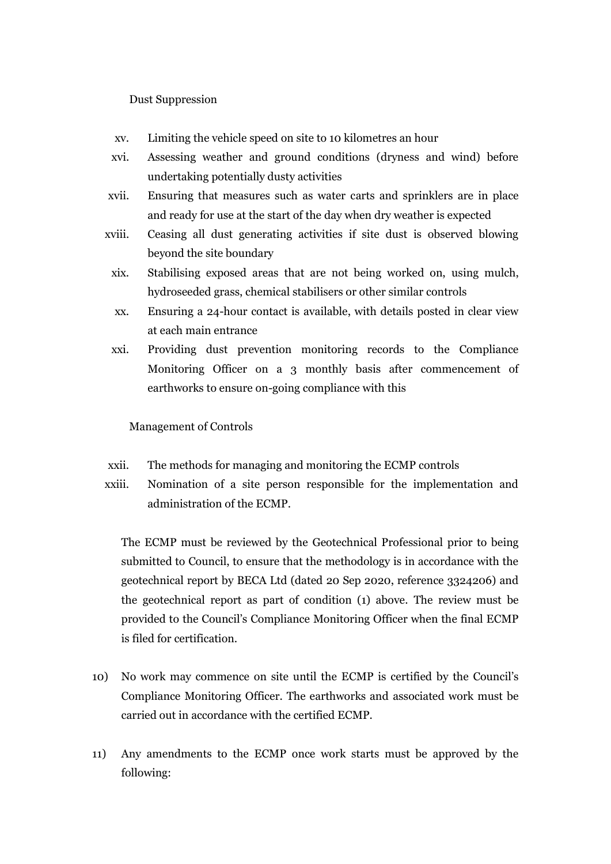Dust Suppression

- xv. Limiting the vehicle speed on site to 10 kilometres an hour
- xvi. Assessing weather and ground conditions (dryness and wind) before undertaking potentially dusty activities
- xvii. Ensuring that measures such as water carts and sprinklers are in place and ready for use at the start of the day when dry weather is expected
- xviii. Ceasing all dust generating activities if site dust is observed blowing beyond the site boundary
	- xix. Stabilising exposed areas that are not being worked on, using mulch, hydroseeded grass, chemical stabilisers or other similar controls
	- xx. Ensuring a 24-hour contact is available, with details posted in clear view at each main entrance
	- xxi. Providing dust prevention monitoring records to the Compliance Monitoring Officer on a 3 monthly basis after commencement of earthworks to ensure on-going compliance with this

### Management of Controls

- xxii. The methods for managing and monitoring the ECMP controls
- xxiii. Nomination of a site person responsible for the implementation and administration of the ECMP.

The ECMP must be reviewed by the Geotechnical Professional prior to being submitted to Council, to ensure that the methodology is in accordance with the geotechnical report by BECA Ltd (dated 20 Sep 2020, reference 3324206) and the geotechnical report as part of condition (1) above. The review must be provided to the Council's Compliance Monitoring Officer when the final ECMP is filed for certification.

- 10) No work may commence on site until the ECMP is certified by the Council's Compliance Monitoring Officer. The earthworks and associated work must be carried out in accordance with the certified ECMP.
- 11) Any amendments to the ECMP once work starts must be approved by the following: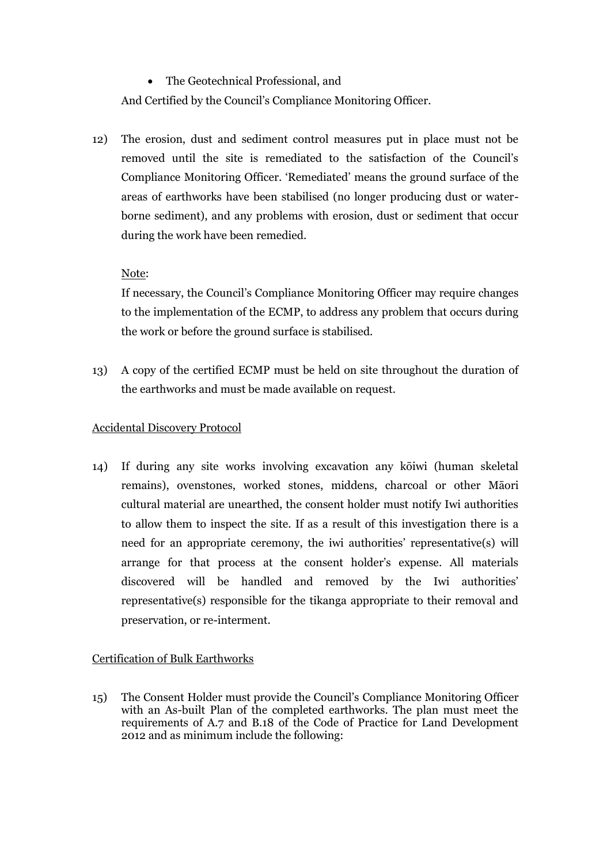• The Geotechnical Professional, and

And Certified by the Council's Compliance Monitoring Officer.

12) The erosion, dust and sediment control measures put in place must not be removed until the site is remediated to the satisfaction of the Council's Compliance Monitoring Officer. 'Remediated' means the ground surface of the areas of earthworks have been stabilised (no longer producing dust or waterborne sediment), and any problems with erosion, dust or sediment that occur during the work have been remedied.

## Note:

If necessary, the Council's Compliance Monitoring Officer may require changes to the implementation of the ECMP, to address any problem that occurs during the work or before the ground surface is stabilised.

13) A copy of the certified ECMP must be held on site throughout the duration of the earthworks and must be made available on request.

## Accidental Discovery Protocol

14) If during any site works involving excavation any kōiwi (human skeletal remains), ovenstones, worked stones, middens, charcoal or other Māori cultural material are unearthed, the consent holder must notify Iwi authorities to allow them to inspect the site. If as a result of this investigation there is a need for an appropriate ceremony, the iwi authorities' representative(s) will arrange for that process at the consent holder's expense. All materials discovered will be handled and removed by the Iwi authorities' representative(s) responsible for the tikanga appropriate to their removal and preservation, or re-interment.

## Certification of Bulk Earthworks

15) The Consent Holder must provide the Council's Compliance Monitoring Officer with an As-built Plan of the completed earthworks. The plan must meet the requirements of A.7 and B.18 of the Code of Practice for Land Development 2012 and as minimum include the following: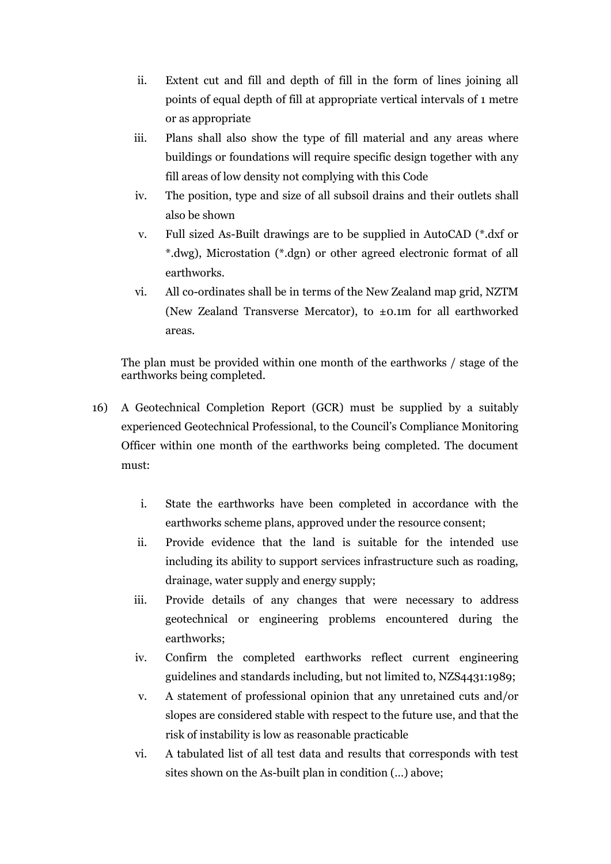- ii. Extent cut and fill and depth of fill in the form of lines joining all points of equal depth of fill at appropriate vertical intervals of 1 metre or as appropriate
- iii. Plans shall also show the type of fill material and any areas where buildings or foundations will require specific design together with any fill areas of low density not complying with this Code
- iv. The position, type and size of all subsoil drains and their outlets shall also be shown
- v. Full sized As-Built drawings are to be supplied in AutoCAD (\*.dxf or \*.dwg), Microstation (\*.dgn) or other agreed electronic format of all earthworks.
- vi. All co-ordinates shall be in terms of the New Zealand map grid, NZTM (New Zealand Transverse Mercator), to ±0.1m for all earthworked areas.

The plan must be provided within one month of the earthworks / stage of the earthworks being completed.

- 16) A Geotechnical Completion Report (GCR) must be supplied by a suitably experienced Geotechnical Professional, to the Council's Compliance Monitoring Officer within one month of the earthworks being completed. The document must:
	- i. State the earthworks have been completed in accordance with the earthworks scheme plans, approved under the resource consent;
	- ii. Provide evidence that the land is suitable for the intended use including its ability to support services infrastructure such as roading, drainage, water supply and energy supply;
	- iii. Provide details of any changes that were necessary to address geotechnical or engineering problems encountered during the earthworks;
	- iv. Confirm the completed earthworks reflect current engineering guidelines and standards including, but not limited to, NZS4431:1989;
	- v. A statement of professional opinion that any unretained cuts and/or slopes are considered stable with respect to the future use, and that the risk of instability is low as reasonable practicable
	- vi. A tabulated list of all test data and results that corresponds with test sites shown on the As-built plan in condition (…) above;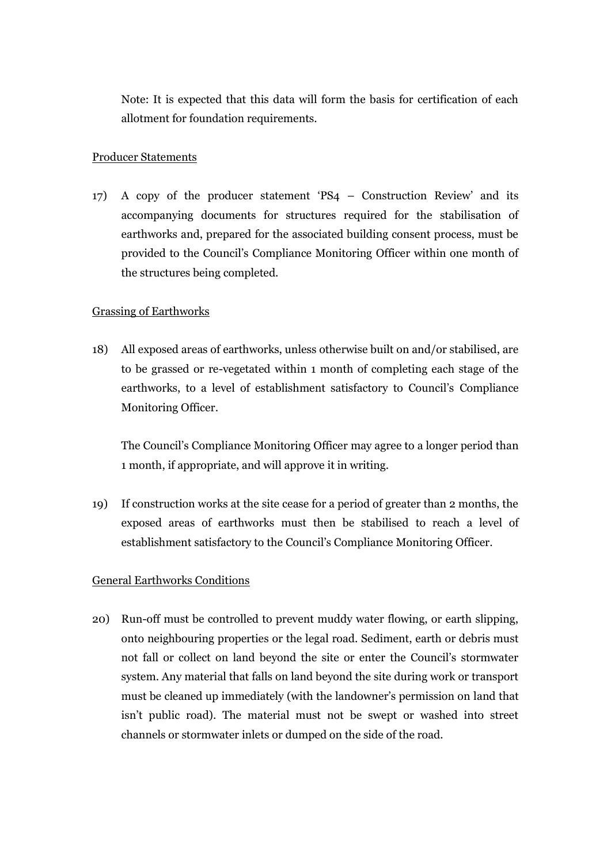Note: It is expected that this data will form the basis for certification of each allotment for foundation requirements.

### Producer Statements

17) A copy of the producer statement 'PS4 – Construction Review' and its accompanying documents for structures required for the stabilisation of earthworks and, prepared for the associated building consent process, must be provided to the Council's Compliance Monitoring Officer within one month of the structures being completed.

#### Grassing of Earthworks

18) All exposed areas of earthworks, unless otherwise built on and/or stabilised, are to be grassed or re-vegetated within 1 month of completing each stage of the earthworks, to a level of establishment satisfactory to Council's Compliance Monitoring Officer.

The Council's Compliance Monitoring Officer may agree to a longer period than 1 month, if appropriate, and will approve it in writing.

19) If construction works at the site cease for a period of greater than 2 months, the exposed areas of earthworks must then be stabilised to reach a level of establishment satisfactory to the Council's Compliance Monitoring Officer.

### General Earthworks Conditions

20) Run-off must be controlled to prevent muddy water flowing, or earth slipping, onto neighbouring properties or the legal road. Sediment, earth or debris must not fall or collect on land beyond the site or enter the Council's stormwater system. Any material that falls on land beyond the site during work or transport must be cleaned up immediately (with the landowner's permission on land that isn't public road). The material must not be swept or washed into street channels or stormwater inlets or dumped on the side of the road.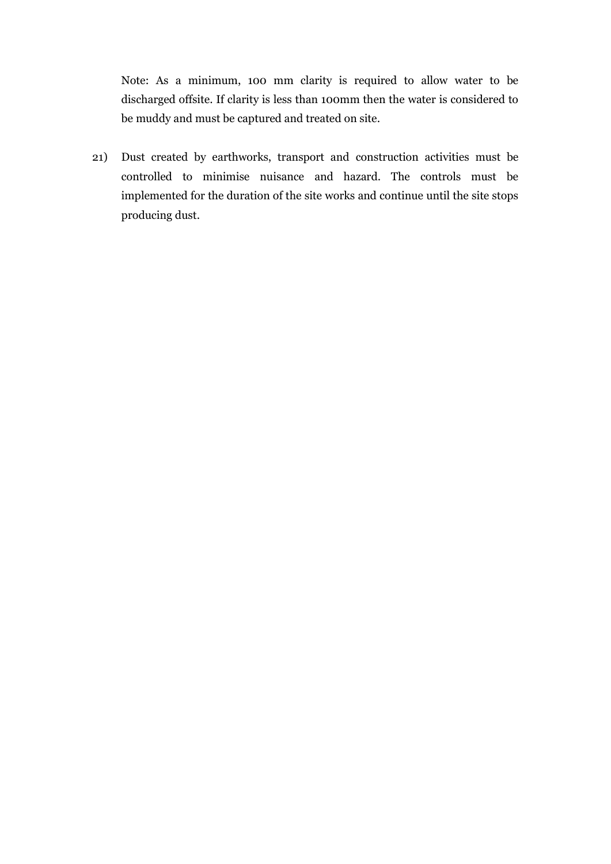Note: As a minimum, 100 mm clarity is required to allow water to be discharged offsite. If clarity is less than 100mm then the water is considered to be muddy and must be captured and treated on site.

21) Dust created by earthworks, transport and construction activities must be controlled to minimise nuisance and hazard. The controls must be implemented for the duration of the site works and continue until the site stops producing dust.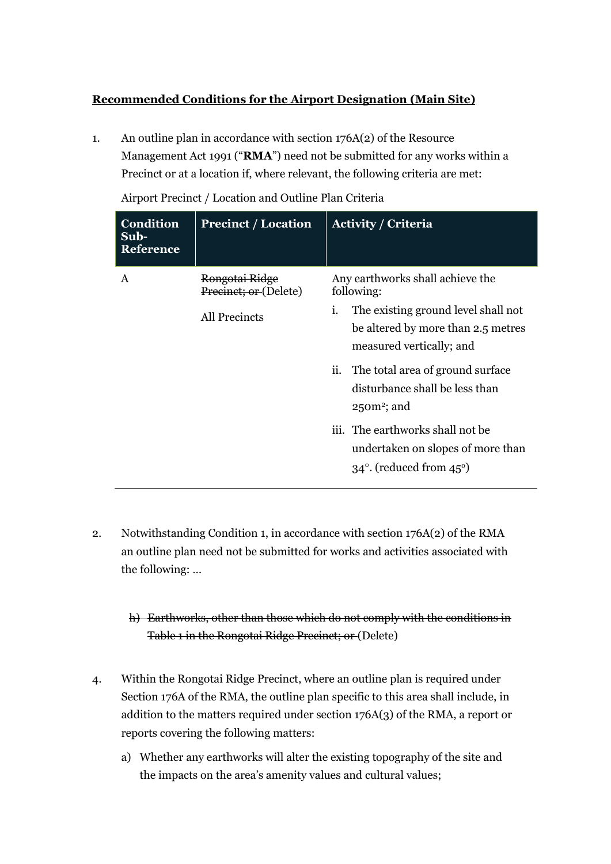## **Recommended Conditions for the Airport Designation (Main Site)**

1. An outline plan in accordance with section 176A(2) of the Resource Management Act 1991 ("**RMA**") need not be submitted for any works within a Precinct or at a location if, where relevant, the following criteria are met:

**Condition Sub-Reference Precinct / Location Activity / Criteria**  A Rongotai Ridge Precinct; or (Delete) All Precincts Any earthworks shall achieve the following: i. The existing ground level shall not be altered by more than 2.5 metres measured vertically; and ii. The total area of ground surface disturbance shall be less than  $25$ om<sup>2</sup>; and iii. The earthworks shall not be undertaken on slopes of more than  $34^\circ$ . (reduced from  $45^\circ$ )

Airport Precinct / Location and Outline Plan Criteria

2. Notwithstanding Condition 1, in accordance with section 176A(2) of the RMA an outline plan need not be submitted for works and activities associated with the following: …

# h) Earthworks, other than those which do not comply with the conditions in Table 1 in the Rongotai Ridge Precinct; or (Delete)

- 4. Within the Rongotai Ridge Precinct, where an outline plan is required under Section 176A of the RMA, the outline plan specific to this area shall include, in addition to the matters required under section 176A(3) of the RMA, a report or reports covering the following matters:
	- a) Whether any earthworks will alter the existing topography of the site and the impacts on the area's amenity values and cultural values;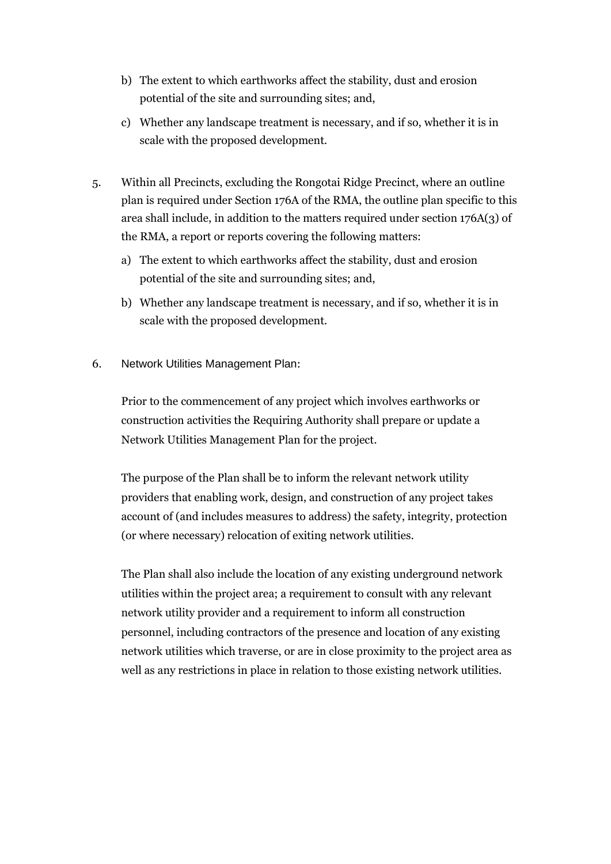- b) The extent to which earthworks affect the stability, dust and erosion potential of the site and surrounding sites; and,
- c) Whether any landscape treatment is necessary, and if so, whether it is in scale with the proposed development.
- 5. Within all Precincts, excluding the Rongotai Ridge Precinct, where an outline plan is required under Section 176A of the RMA, the outline plan specific to this area shall include, in addition to the matters required under section 176A(3) of the RMA, a report or reports covering the following matters:
	- a) The extent to which earthworks affect the stability, dust and erosion potential of the site and surrounding sites; and,
	- b) Whether any landscape treatment is necessary, and if so, whether it is in scale with the proposed development.
- 6. Network Utilities Management Plan:

Prior to the commencement of any project which involves earthworks or construction activities the Requiring Authority shall prepare or update a Network Utilities Management Plan for the project.

The purpose of the Plan shall be to inform the relevant network utility providers that enabling work, design, and construction of any project takes account of (and includes measures to address) the safety, integrity, protection (or where necessary) relocation of exiting network utilities.

The Plan shall also include the location of any existing underground network utilities within the project area; a requirement to consult with any relevant network utility provider and a requirement to inform all construction personnel, including contractors of the presence and location of any existing network utilities which traverse, or are in close proximity to the project area as well as any restrictions in place in relation to those existing network utilities.